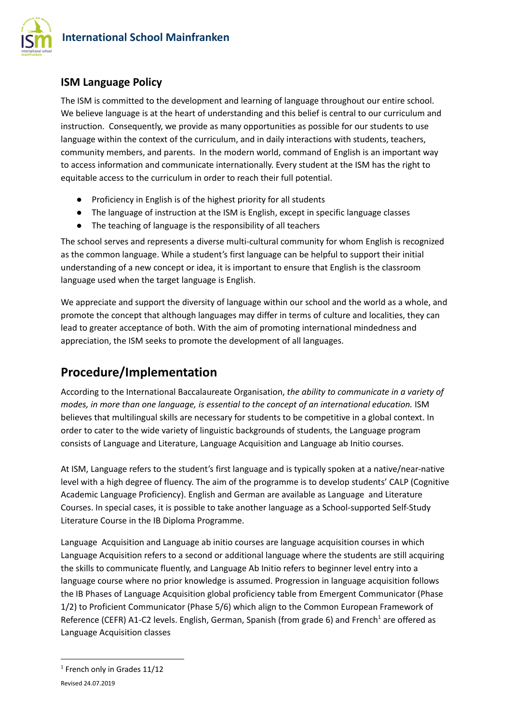

## **ISM Language Policy**

The ISM is committed to the development and learning of language throughout our entire school. We believe language is at the heart of understanding and this belief is central to our curriculum and instruction. Consequently, we provide as many opportunities as possible for our students to use language within the context of the curriculum, and in daily interactions with students, teachers, community members, and parents. In the modern world, command of English is an important way to access information and communicate internationally. Every student at the ISM has the right to equitable access to the curriculum in order to reach their full potential.

- Proficiency in English is of the highest priority for all students
- The language of instruction at the ISM is English, except in specific language classes
- The teaching of language is the responsibility of all teachers

The school serves and represents a diverse multi-cultural community for whom English is recognized as the common language. While a student's first language can be helpful to support their initial understanding of a new concept or idea, it is important to ensure that English is the classroom language used when the target language is English.

We appreciate and support the diversity of language within our school and the world as a whole, and promote the concept that although languages may differ in terms of culture and localities, they can lead to greater acceptance of both. With the aim of promoting international mindedness and appreciation, the ISM seeks to promote the development of all languages.

# **Procedure/Implementation**

According to the International Baccalaureate Organisation, *the ability to communicate in a variety of modes, in more than one language, is essential to the concept of an international education.* ISM believes that multilingual skills are necessary for students to be competitive in a global context. In order to cater to the wide variety of linguistic backgrounds of students, the Language program consists of Language and Literature, Language Acquisition and Language ab Initio courses.

At ISM, Language refers to the student's first language and is typically spoken at a native/near-native level with a high degree of fluency. The aim of the programme is to develop students' CALP (Cognitive Academic Language Proficiency). English and German are available as Language and Literature Courses. In special cases, it is possible to take another language as a School-supported Self-Study Literature Course in the IB Diploma Programme.

Language Acquisition and Language ab initio courses are language acquisition courses in which Language Acquisition refers to a second or additional language where the students are still acquiring the skills to communicate fluently, and Language Ab Initio refers to beginner level entry into a language course where no prior knowledge is assumed. Progression in language acquisition follows the IB Phases of Language Acquisition global proficiency table from Emergent Communicator (Phase 1/2) to Proficient Communicator (Phase 5/6) which align to the Common European Framework of Reference (CEFR) A1-C2 levels. English, German, Spanish (from grade 6) and French<sup>1</sup> are offered as Language Acquisition classes

 $<sup>1</sup>$  French only in Grades 11/12</sup>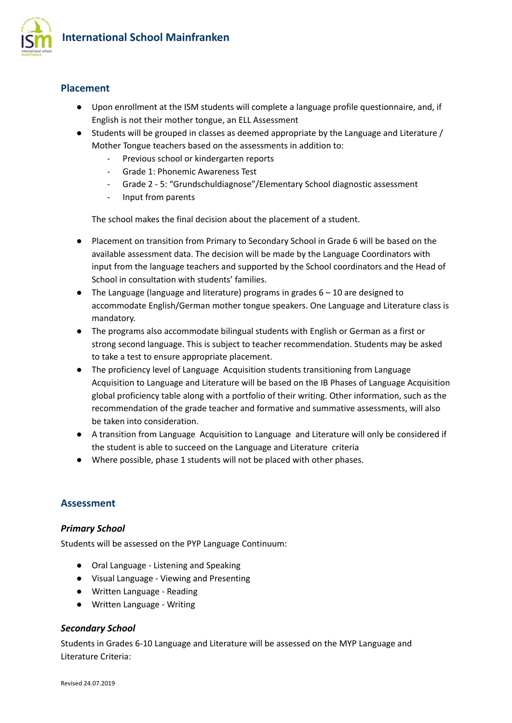

## **Placement**

- Upon enrollment at the ISM students will complete a language profile questionnaire, and, if English is not their mother tongue, an ELL Assessment
- Students will be grouped in classes as deemed appropriate by the Language and Literature / Mother Tongue teachers based on the assessments in addition to:
	- Previous school or kindergarten reports
	- Grade 1: Phonemic Awareness Test
	- Grade 2 5: "Grundschuldiagnose"/Elementary School diagnostic assessment
	- Input from parents

The school makes the final decision about the placement of a student.

- Placement on transition from Primary to Secondary School in Grade 6 will be based on the available assessment data. The decision will be made by the Language Coordinators with input from the language teachers and supported by the School coordinators and the Head of School in consultation with students' families.
- The Language (language and literature) programs in grades 6 10 are designed to accommodate English/German mother tongue speakers. One Language and Literature class is mandatory.
- The programs also accommodate bilingual students with English or German as a first or strong second language. This is subject to teacher recommendation. Students may be asked to take a test to ensure appropriate placement.
- The proficiency level of Language Acquisition students transitioning from Language Acquisition to Language and Literature will be based on the IB Phases of Language Acquisition global proficiency table along with a portfolio of their writing. Other information, such as the recommendation of the grade teacher and formative and summative assessments, will also be taken into consideration.
- A transition from Language Acquisition to Language and Literature will only be considered if the student is able to succeed on the Language and Literature criteria
- Where possible, phase 1 students will not be placed with other phases.

### **Assessment**

#### *Primary School*

Students will be assessed on the PYP Language Continuum:

- Oral Language Listening and Speaking
- Visual Language Viewing and Presenting
- Written Language Reading
- Written Language Writing

#### *Secondary School*

Students in Grades 6-10 Language and Literature will be assessed on the MYP Language and Literature Criteria: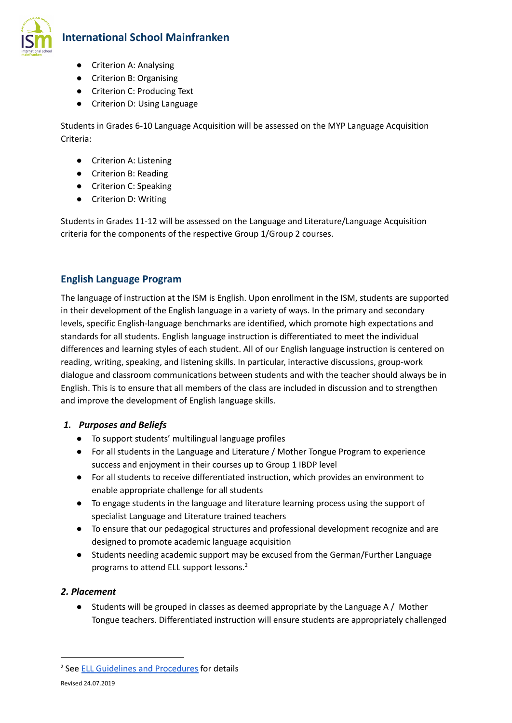

## **International School Mainfranken**

- Criterion A: Analysing
- Criterion B: Organising
- Criterion C: Producing Text
- Criterion D: Using Language

Students in Grades 6-10 Language Acquisition will be assessed on the MYP Language Acquisition Criteria:

- Criterion A: Listening
- Criterion B: Reading
- Criterion C: Speaking
- Criterion D: Writing

Students in Grades 11-12 will be assessed on the Language and Literature/Language Acquisition criteria for the components of the respective Group 1/Group 2 courses.

## **English Language Program**

The language of instruction at the ISM is English. Upon enrollment in the ISM, students are supported in their development of the English language in a variety of ways. In the primary and secondary levels, specific English-language benchmarks are identified, which promote high expectations and standards for all students. English language instruction is differentiated to meet the individual differences and learning styles of each student. All of our English language instruction is centered on reading, writing, speaking, and listening skills. In particular, interactive discussions, group-work dialogue and classroom communications between students and with the teacher should always be in English. This is to ensure that all members of the class are included in discussion and to strengthen and improve the development of English language skills.

#### *1. Purposes and Beliefs*

- To support students' multilingual language profiles
- For all students in the Language and Literature / Mother Tongue Program to experience success and enjoyment in their courses up to Group 1 IBDP level
- For all students to receive differentiated instruction, which provides an environment to enable appropriate challenge for all students
- To engage students in the language and literature learning process using the support of specialist Language and Literature trained teachers
- To ensure that our pedagogical structures and professional development recognize and are designed to promote academic language acquisition
- Students needing academic support may be excused from the German/Further Language programs to attend ELL support lessons. 2

### *2. Placement*

● Students will be grouped in classes as deemed appropriate by the Language A / Mother Tongue teachers. Differentiated instruction will ensure students are appropriately challenged

<sup>2</sup> See ELL Guidelines and [Procedures](https://docs.google.com/document/d/1jdJHPCUxBpcvviixJM5TOLE5yG5EBUQ8Pc9pwmiSwxw/edit?usp=sharing) for details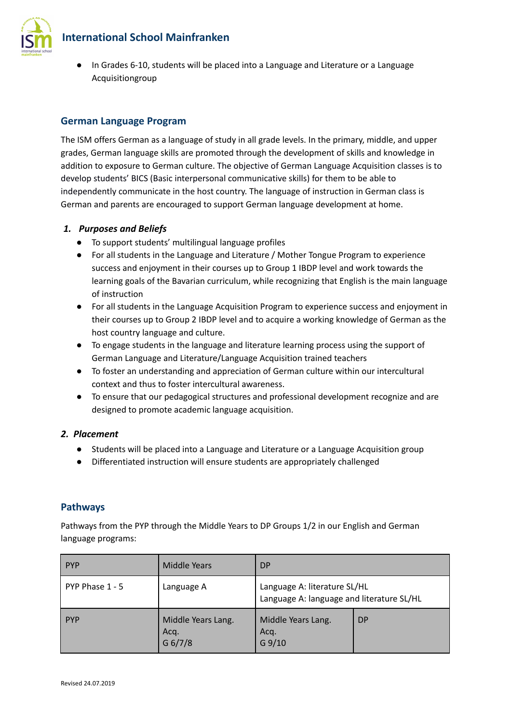**International School Mainfranken**



● In Grades 6-10, students will be placed into a Language and Literature or a Language Acquisitiongroup

## **German Language Program**

The ISM offers German as a language of study in all grade levels. In the primary, middle, and upper grades, German language skills are promoted through the development of skills and knowledge in addition to exposure to German culture. The objective of German Language Acquisition classes is to develop students' BICS (Basic interpersonal communicative skills) for them to be able to independently communicate in the host country. The language of instruction in German class is German and parents are encouraged to support German language development at home.

#### *1. Purposes and Beliefs*

- To support students' multilingual language profiles
- For all students in the Language and Literature / Mother Tongue Program to experience success and enjoyment in their courses up to Group 1 IBDP level and work towards the learning goals of the Bavarian curriculum, while recognizing that English is the main language of instruction
- For all students in the Language Acquisition Program to experience success and enjoyment in their courses up to Group 2 IBDP level and to acquire a working knowledge of German as the host country language and culture.
- To engage students in the language and literature learning process using the support of German Language and Literature/Language Acquisition trained teachers
- To foster an understanding and appreciation of German culture within our intercultural context and thus to foster intercultural awareness.
- To ensure that our pedagogical structures and professional development recognize and are designed to promote academic language acquisition.

### *2. Placement*

- Students will be placed into a Language and Literature or a Language Acquisition group
- Differentiated instruction will ensure students are appropriately challenged

### **Pathways**

Pathways from the PYP through the Middle Years to DP Groups 1/2 in our English and German language programs:

| <b>PYP</b>      | <b>Middle Years</b>                   | <b>DP</b>                                                                 |           |
|-----------------|---------------------------------------|---------------------------------------------------------------------------|-----------|
| PYP Phase 1 - 5 | Language A                            | Language A: literature SL/HL<br>Language A: language and literature SL/HL |           |
| <b>PYP</b>      | Middle Years Lang.<br>Acq.<br>G 6/7/8 | Middle Years Lang.<br>Acq.<br>$G$ 9/10                                    | <b>DP</b> |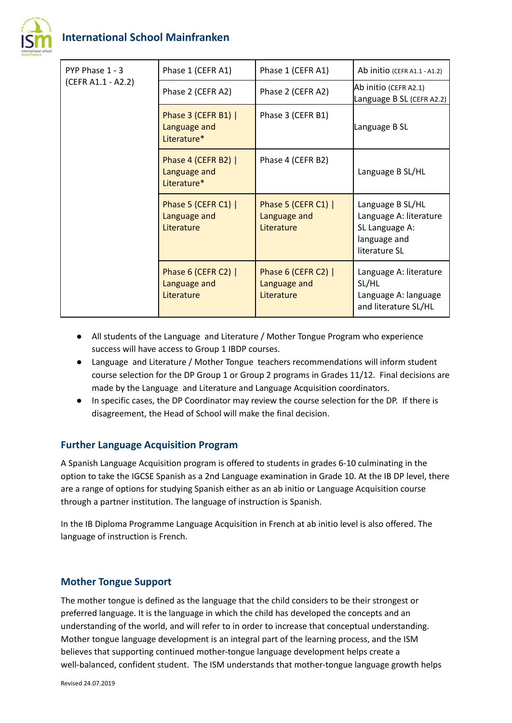

| PYP Phase 1 - 3<br>(CEFR A1.1 - A2.2) | Phase 1 (CEFR A1)                                  | Phase 1 (CEFR A1)                                 | Ab initio (CEFR A1.1 - A1.2)                                                                  |
|---------------------------------------|----------------------------------------------------|---------------------------------------------------|-----------------------------------------------------------------------------------------------|
|                                       | Phase 2 (CEFR A2)                                  | Phase 2 (CEFR A2)                                 | Ab initio (CEFR A2.1)<br>Language B SL (CEFR A2.2)                                            |
|                                       | Phase 3 (CEFR B1)  <br>Language and<br>Literature* | Phase 3 (CEFR B1)                                 | Language B SL                                                                                 |
|                                       | Phase 4 (CEFR B2)  <br>Language and<br>Literature* | Phase 4 (CEFR B2)                                 | Language B SL/HL                                                                              |
|                                       | Phase 5 (CEFR C1)  <br>Language and<br>Literature  | Phase 5 (CEFR C1)  <br>Language and<br>Literature | Language B SL/HL<br>Language A: literature<br>SL Language A:<br>language and<br>literature SL |
|                                       | Phase 6 (CEFR C2)  <br>Language and<br>Literature  | Phase 6 (CEFR C2)  <br>Language and<br>Literature | Language A: literature<br>SL/HL<br>Language A: language<br>and literature SL/HL               |

- All students of the Language and Literature / Mother Tongue Program who experience success will have access to Group 1 IBDP courses.
- Language and Literature / Mother Tongue teachers recommendations will inform student course selection for the DP Group 1 or Group 2 programs in Grades 11/12. Final decisions are made by the Language and Literature and Language Acquisition coordinators.
- In specific cases, the DP Coordinator may review the course selection for the DP. If there is disagreement, the Head of School will make the final decision.

### **Further Language Acquisition Program**

A Spanish Language Acquisition program is offered to students in grades 6-10 culminating in the option to take the IGCSE Spanish as a 2nd Language examination in Grade 10. At the IB DP level, there are a range of options for studying Spanish either as an ab initio or Language Acquisition course through a partner institution. The language of instruction is Spanish.

In the IB Diploma Programme Language Acquisition in French at ab initio level is also offered. The language of instruction is French.

#### **Mother Tongue Support**

The mother tongue is defined as the language that the child considers to be their strongest or preferred language. It is the language in which the child has developed the concepts and an understanding of the world, and will refer to in order to increase that conceptual understanding. Mother tongue language development is an integral part of the learning process, and the ISM believes that supporting continued mother-tongue language development helps create a well-balanced, confident student. The ISM understands that mother-tongue language growth helps